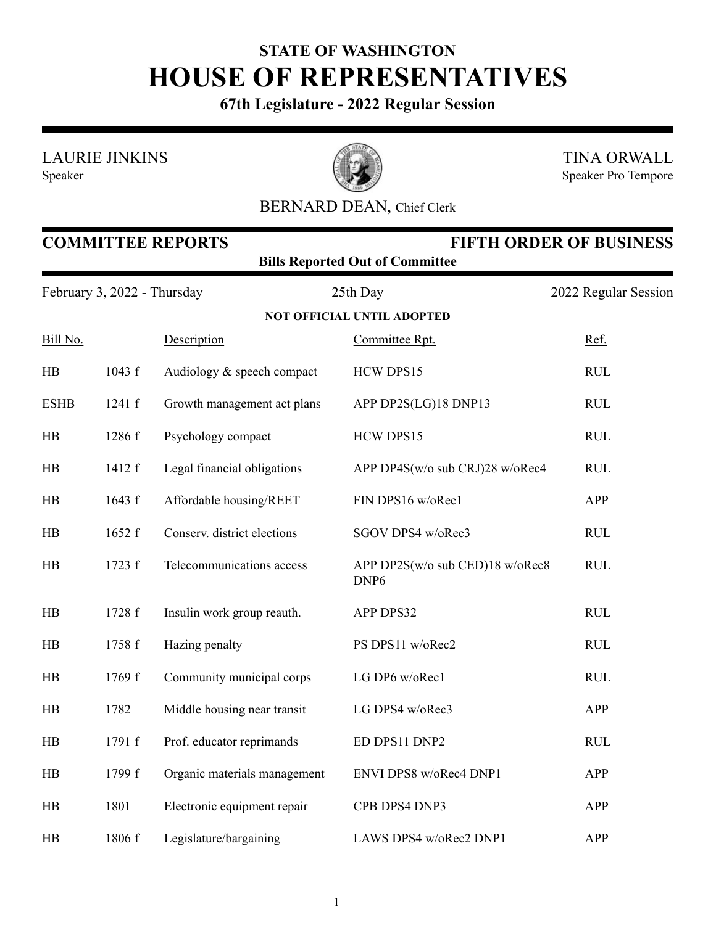## **STATE OF WASHINGTON HOUSE OF REPRESENTATIVES**

**67th Legislature - 2022 Regular Session**

LAURIE JINKINS

Speaker



TINA ORWALL Speaker Pro Tempore

## BERNARD DEAN, Chief Clerk

| <b>COMMITTEE REPORTS</b><br><b>FIFTH ORDER OF BUSINESS</b><br><b>Bills Reported Out of Committee</b> |        |                              |                                                     |                                  |  |  |  |
|------------------------------------------------------------------------------------------------------|--------|------------------------------|-----------------------------------------------------|----------------------------------|--|--|--|
| February 3, 2022 - Thursday                                                                          |        |                              | 25th Day                                            | 2022 Regular Session             |  |  |  |
|                                                                                                      |        |                              | <b>NOT OFFICIAL UNTIL ADOPTED</b>                   |                                  |  |  |  |
| Bill No.                                                                                             |        | Description                  | Committee Rpt.                                      | Ref.                             |  |  |  |
| $\rm HB$                                                                                             | 1043 f | Audiology & speech compact   | HCW DPS15                                           | RUL                              |  |  |  |
| <b>ESHB</b>                                                                                          | 1241 f | Growth management act plans  | APP DP2S(LG)18 DNP13                                | <b>RUL</b>                       |  |  |  |
| $\rm HB$                                                                                             | 1286 f | Psychology compact           | HCW DPS15                                           | $\mathbf{R}\mathbf{U}\mathbf{L}$ |  |  |  |
| HB                                                                                                   | 1412 f | Legal financial obligations  | APP DP4S(w/o sub CRJ)28 w/oRec4                     | $\mathbf{R}\mathbf{U}\mathbf{L}$ |  |  |  |
| HB                                                                                                   | 1643 f | Affordable housing/REET      | FIN DPS16 w/oRec1                                   | APP                              |  |  |  |
| $\rm HB$                                                                                             | 1652 f | Conserv. district elections  | SGOV DPS4 w/oRec3                                   | RUL                              |  |  |  |
| HB                                                                                                   | 1723 f | Telecommunications access    | APP DP2S(w/o sub CED)18 w/oRec8<br>DNP <sub>6</sub> | $\mathbf{R}\mathbf{U}\mathbf{L}$ |  |  |  |
| HB                                                                                                   | 1728 f | Insulin work group reauth.   | APP DPS32                                           | <b>RUL</b>                       |  |  |  |
| HB                                                                                                   | 1758 f | Hazing penalty               | PS DPS11 w/oRec2                                    | <b>RUL</b>                       |  |  |  |
| HB                                                                                                   | 1769 f | Community municipal corps    | LG DP6 w/oRec1                                      | <b>RUL</b>                       |  |  |  |
| HB                                                                                                   | 1782   | Middle housing near transit  | LG DPS4 w/oRec3                                     | APP                              |  |  |  |
| HB                                                                                                   | 1791 f | Prof. educator reprimands    | ED DPS11 DNP2                                       | <b>RUL</b>                       |  |  |  |
| HB                                                                                                   | 1799 f | Organic materials management | ENVI DPS8 w/oRec4 DNP1                              | APP                              |  |  |  |
| HB                                                                                                   | 1801   | Electronic equipment repair  | CPB DPS4 DNP3                                       | APP                              |  |  |  |
| HB                                                                                                   | 1806 f | Legislature/bargaining       | LAWS DPS4 w/oRec2 DNP1                              | APP                              |  |  |  |